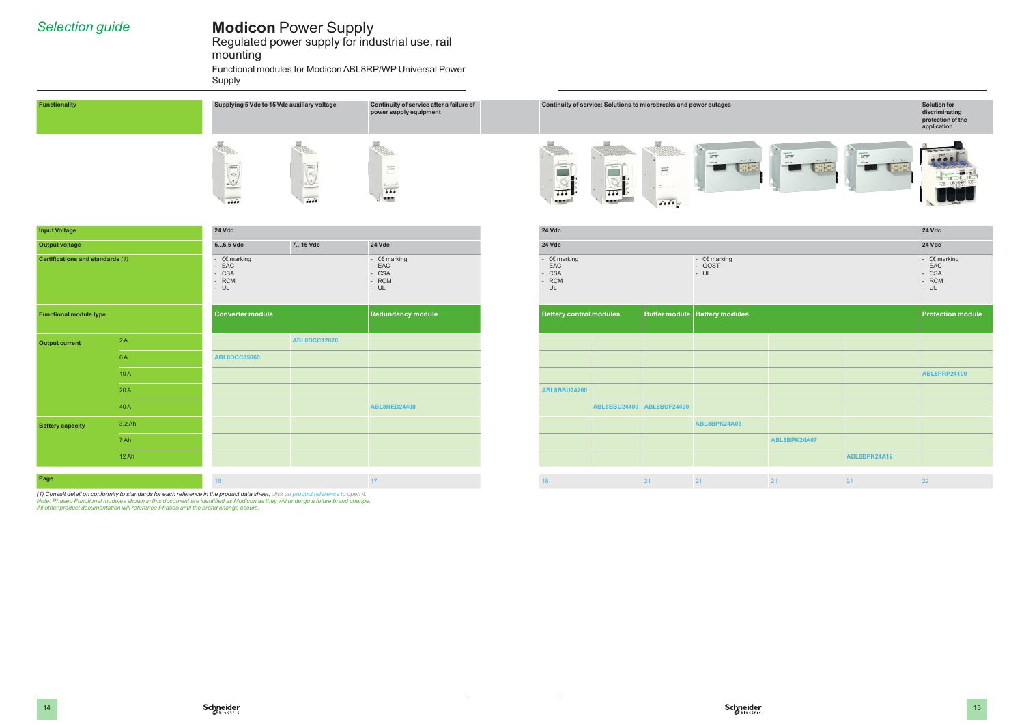# **Modicon** Power Supply

Regulated power supply for industrial use, rail mounting Functional modules for Modicon ABL8RP/WP Universal Power Supply

# *Selection guide*



| <b>Input Voltage</b>             | <b>24 Vdc</b>                                         |         |                                                   | <b>24 Vdc</b>                                         |                                                                       | <b>24 Vdc</b>                                |
|----------------------------------|-------------------------------------------------------|---------|---------------------------------------------------|-------------------------------------------------------|-----------------------------------------------------------------------|----------------------------------------------|
| Output voltage                   | 56.5 Vdc                                              | 715 Vdc | <b>24 Vdc</b>                                     | <b>24 Vdc</b>                                         |                                                                       | <b>24 Vdc</b>                                |
| Certifications and standards (1) | - $C\in$ marking<br>- EAC<br>- CSA<br>- RCM<br>$- UL$ |         | - CE marking<br>- EAC<br>- CSA<br>- RCM<br>$- UL$ | - $C\epsilon$ marking<br>EAC<br>- CSA<br>RCM<br>$-UL$ | - $C\epsilon$ marking<br>- GOST<br>$\blacksquare$ - UL $\blacksquare$ | $-Cen$<br>- EAC<br>$-CS/$<br>- RCI<br>$- UL$ |

| Functionality                    |        | Supplying 5 Vdc to 15 Vdc auxiliary voltage                                                                                                                                                                                                                                                 |                                                                                                                                                                                                                                                                            | Continuity of service after a failure of<br>power supply equipment |                                                                                  | Continuity of service: Solutions to microbreaks and power outages                                       |                                                                    |                                                                                                                                                                                                                                                                                                                                                                                                                                                                                                                                                                       |                                                                                                                  |                                                                                               | Solution for<br>discriminating<br>protection of the<br>application                                                    |
|----------------------------------|--------|---------------------------------------------------------------------------------------------------------------------------------------------------------------------------------------------------------------------------------------------------------------------------------------------|----------------------------------------------------------------------------------------------------------------------------------------------------------------------------------------------------------------------------------------------------------------------------|--------------------------------------------------------------------|----------------------------------------------------------------------------------|---------------------------------------------------------------------------------------------------------|--------------------------------------------------------------------|-----------------------------------------------------------------------------------------------------------------------------------------------------------------------------------------------------------------------------------------------------------------------------------------------------------------------------------------------------------------------------------------------------------------------------------------------------------------------------------------------------------------------------------------------------------------------|------------------------------------------------------------------------------------------------------------------|-----------------------------------------------------------------------------------------------|-----------------------------------------------------------------------------------------------------------------------|
|                                  |        | $\begin{tabular}{ c c } \hline \quad \quad & \quad \quad & \quad \quad \\ \hline \quad \quad & \quad \quad & \quad \quad \\ \hline \quad \quad & \quad \quad & \quad \quad \\ \hline \quad \quad & \quad \quad & \quad \quad \\ \hline \end{tabular}$<br>$\frac{1}{2}$<br>$\overline{5556}$ | $\begin{tabular}{ c c } \hline \quad \quad & \quad \quad & \quad \quad \\ \hline \quad \quad & \quad \quad & \quad \quad \\ \hline \quad \quad & \quad \quad & \quad \quad \\ \hline \quad \quad & \quad \quad & \quad \quad \\ \hline \end{tabular}$<br>$\overline{6000}$ | 1950.<br>$\overline{\phantom{a}}$<br>$\frac{1}{2}$<br>$-1$         | $\begin{array}{c} \hline \text{spac} \end{array}$<br>$\overline{488}$<br>$- - -$ | $\begin{array}{ c c } \hline \text{non.} & \text{if } \text{non.} \\\hline \end{array}$<br>7.77<br>$-1$ | $\overline{\phantom{a}}$<br>$\boxed{\bullet\bullet\bullet\bullet}$ | $\begin{array}{r} \begin{array}{c} \begin{array}{c} \begin{array}{c} \begin{array}{c} \begin{array}{c} \end{array} \\ \end{array} \\ \begin{array}{c} \end{array} \\ \end{array} \\ \begin{array}{c} \end{array} \\ \end{array} \\ \begin{array}{c} \end{array} \\ \end{array} \end{array} \end{array} \end{array} \begin{array}{c} \begin{array}{c} \begin{array}{c} \begin{array}{c} \end{array} \\ \end{array} \\ \begin{array}{c} \end{array} \\ \end{array} \end{array} \end{array} \end{array} \begin{array}{c} \begin{array}{c} \begin{array}{c} \$<br>$\cdot$ | $\begin{array}{r} \begin{array}{c} \text{logistic} \\ \text{maxconst} \end{array} \end{array}$<br>$\cdot$<br>--- | Selgesterm<br>AMARYSANS<br>Definition<br>Before: 1984<br>Perform: 1984<br>$\ddots$<br>9999900 | $\begin{array}{c} \bullet & \bullet & \bullet & \bullet \\ \bullet & \bullet & \bullet & \bullet \end{array}$<br>72.7 |
| <b>Input Voltage</b>             |        | <b>24 Vdc</b>                                                                                                                                                                                                                                                                               |                                                                                                                                                                                                                                                                            |                                                                    | <b>24 Vdc</b>                                                                    |                                                                                                         |                                                                    |                                                                                                                                                                                                                                                                                                                                                                                                                                                                                                                                                                       |                                                                                                                  |                                                                                               | <b>24 Vdc</b>                                                                                                         |
| <b>Output voltage</b>            |        | $56.5$ Vdc                                                                                                                                                                                                                                                                                  | 715 Vdc                                                                                                                                                                                                                                                                    | <b>24 Vdc</b>                                                      | <b>24 Vdc</b>                                                                    |                                                                                                         |                                                                    |                                                                                                                                                                                                                                                                                                                                                                                                                                                                                                                                                                       |                                                                                                                  |                                                                                               | <b>24 Vdc</b>                                                                                                         |
| Certifications and standards (1) |        | - $C\in\mathsf{marking}$<br>EAC<br>CSA<br>RCM<br>$- UL$                                                                                                                                                                                                                                     |                                                                                                                                                                                                                                                                            | - $C\in\mathsf{marking}$<br>- EAC<br>- CSA<br>- RCM<br>$- UL$      | - $C\epsilon$ marking<br>EAC<br>CSA<br>RCM<br>$- UL$                             |                                                                                                         |                                                                    | - $C\in\mathbb{R}$ marking<br>- GOST<br>$- UL$                                                                                                                                                                                                                                                                                                                                                                                                                                                                                                                        |                                                                                                                  |                                                                                               | - $C\epsilon$ marking<br>- EAC<br>$-CSA$<br>- RCM<br>$- UL$                                                           |
| <b>Functional module type</b>    |        | Converter module                                                                                                                                                                                                                                                                            |                                                                                                                                                                                                                                                                            | Redundancy module                                                  | <b>Battery control modules</b>                                                   |                                                                                                         |                                                                    | Buffer module   Battery modules                                                                                                                                                                                                                                                                                                                                                                                                                                                                                                                                       |                                                                                                                  |                                                                                               | <b>Protection module</b>                                                                                              |
| <b>Output current</b>            | 2A     |                                                                                                                                                                                                                                                                                             | <b>ABL8DCC12020</b>                                                                                                                                                                                                                                                        |                                                                    |                                                                                  |                                                                                                         |                                                                    |                                                                                                                                                                                                                                                                                                                                                                                                                                                                                                                                                                       |                                                                                                                  |                                                                                               |                                                                                                                       |
|                                  | 6A     | <b>ABL8DCC05060</b>                                                                                                                                                                                                                                                                         |                                                                                                                                                                                                                                                                            |                                                                    |                                                                                  |                                                                                                         |                                                                    |                                                                                                                                                                                                                                                                                                                                                                                                                                                                                                                                                                       |                                                                                                                  |                                                                                               |                                                                                                                       |
|                                  | 10A    |                                                                                                                                                                                                                                                                                             |                                                                                                                                                                                                                                                                            |                                                                    |                                                                                  |                                                                                                         |                                                                    |                                                                                                                                                                                                                                                                                                                                                                                                                                                                                                                                                                       |                                                                                                                  |                                                                                               | ABL8PRP24100                                                                                                          |
|                                  | 20A    |                                                                                                                                                                                                                                                                                             |                                                                                                                                                                                                                                                                            |                                                                    | ABL8BBU24200                                                                     |                                                                                                         |                                                                    |                                                                                                                                                                                                                                                                                                                                                                                                                                                                                                                                                                       |                                                                                                                  |                                                                                               |                                                                                                                       |
|                                  | 40 A   |                                                                                                                                                                                                                                                                                             |                                                                                                                                                                                                                                                                            | <b>ABL8RED24400</b>                                                |                                                                                  | ABL8BBU24400 ABL8BUF24400                                                                               |                                                                    |                                                                                                                                                                                                                                                                                                                                                                                                                                                                                                                                                                       |                                                                                                                  |                                                                                               |                                                                                                                       |
| <b>Battery capacity</b>          | 3.2 Ah |                                                                                                                                                                                                                                                                                             |                                                                                                                                                                                                                                                                            |                                                                    |                                                                                  |                                                                                                         |                                                                    | ABL8BPK24A03                                                                                                                                                                                                                                                                                                                                                                                                                                                                                                                                                          |                                                                                                                  |                                                                                               |                                                                                                                       |
|                                  | 7 Ah   |                                                                                                                                                                                                                                                                                             |                                                                                                                                                                                                                                                                            |                                                                    |                                                                                  |                                                                                                         |                                                                    |                                                                                                                                                                                                                                                                                                                                                                                                                                                                                                                                                                       | ABL8BPK24A07                                                                                                     |                                                                                               |                                                                                                                       |
|                                  | 12Ah   |                                                                                                                                                                                                                                                                                             |                                                                                                                                                                                                                                                                            |                                                                    |                                                                                  |                                                                                                         |                                                                    |                                                                                                                                                                                                                                                                                                                                                                                                                                                                                                                                                                       |                                                                                                                  | ABL8BPK24A12                                                                                  |                                                                                                                       |
| Page                             |        | 16 <sup>1</sup>                                                                                                                                                                                                                                                                             |                                                                                                                                                                                                                                                                            | 17 <sup>2</sup>                                                    | 18 <sup>1</sup>                                                                  |                                                                                                         | 21                                                                 | 21                                                                                                                                                                                                                                                                                                                                                                                                                                                                                                                                                                    | 21                                                                                                               | 21                                                                                            | 22 <sub>2</sub>                                                                                                       |
|                                  |        |                                                                                                                                                                                                                                                                                             |                                                                                                                                                                                                                                                                            |                                                                    |                                                                                  |                                                                                                         |                                                                    |                                                                                                                                                                                                                                                                                                                                                                                                                                                                                                                                                                       |                                                                                                                  |                                                                                               |                                                                                                                       |

|                                                          |                           | Continuity of service: Solutions to microbreaks and power outages |                                                 |                                                                                                                                                                                                                                                                                                                                                                                                                                                                                                                                               |                                                                      | <b>Solution for</b><br>discriminating<br>protection of the<br>application |
|----------------------------------------------------------|---------------------------|-------------------------------------------------------------------|-------------------------------------------------|-----------------------------------------------------------------------------------------------------------------------------------------------------------------------------------------------------------------------------------------------------------------------------------------------------------------------------------------------------------------------------------------------------------------------------------------------------------------------------------------------------------------------------------------------|----------------------------------------------------------------------|---------------------------------------------------------------------------|
|                                                          |                           | Ŧ<br>0.0001                                                       | <b>ARABYSANS</b><br><b>ARABYSANS</b><br>$\cdot$ | $\begin{array}{l} \frac{1}{2} & \frac{1}{2} & \frac{1}{2} \\ \frac{1}{2} & \frac{1}{2} & \frac{1}{2} \\ \frac{1}{2} & \frac{1}{2} & \frac{1}{2} \\ \frac{1}{2} & \frac{1}{2} & \frac{1}{2} \\ \frac{1}{2} & \frac{1}{2} & \frac{1}{2} \\ \frac{1}{2} & \frac{1}{2} & \frac{1}{2} \\ \frac{1}{2} & \frac{1}{2} & \frac{1}{2} \\ \frac{1}{2} & \frac{1}{2} & \frac{1}{2} \\ \frac{1}{2} & \frac{1}{2} & \frac{1}{$<br>$\begin{array}{ccccccccccccc} \bullet & \circ & & \bullet & & \circ & & \bullet & & \circ \end{array}$<br>$\frac{30}{99}$ | Selections<br>Amateriales<br>Secol - Cate<br>$\cdot$<br>turbane 1944 |                                                                           |
| 24 Vdc                                                   |                           |                                                                   |                                                 |                                                                                                                                                                                                                                                                                                                                                                                                                                                                                                                                               |                                                                      | 24 Vdc                                                                    |
| 24 Vdc                                                   |                           |                                                                   |                                                 |                                                                                                                                                                                                                                                                                                                                                                                                                                                                                                                                               |                                                                      | 24 Vdc                                                                    |
| - $C\epsilon$ marking<br>- EAC<br>- CSA<br>- RCM<br>- UL |                           |                                                                   | - $C\in$ marking<br>- GOST<br>$- UL$            |                                                                                                                                                                                                                                                                                                                                                                                                                                                                                                                                               |                                                                      | - $C\epsilon$ marking<br>- EAC<br>- CSA<br>- RCM<br>- UL                  |
|                                                          |                           |                                                                   |                                                 |                                                                                                                                                                                                                                                                                                                                                                                                                                                                                                                                               |                                                                      |                                                                           |
| <b>Battery control modules</b>                           |                           | <b>Buffer module</b>                                              | <b>Battery modules</b>                          |                                                                                                                                                                                                                                                                                                                                                                                                                                                                                                                                               |                                                                      | <b>Protection module</b>                                                  |
|                                                          |                           |                                                                   |                                                 |                                                                                                                                                                                                                                                                                                                                                                                                                                                                                                                                               |                                                                      |                                                                           |
|                                                          |                           |                                                                   |                                                 |                                                                                                                                                                                                                                                                                                                                                                                                                                                                                                                                               |                                                                      |                                                                           |
|                                                          |                           |                                                                   |                                                 |                                                                                                                                                                                                                                                                                                                                                                                                                                                                                                                                               |                                                                      | <b>ABL8PRP24100</b>                                                       |
|                                                          |                           |                                                                   |                                                 |                                                                                                                                                                                                                                                                                                                                                                                                                                                                                                                                               |                                                                      |                                                                           |
|                                                          | ABL8BBU24400 ABL8BUF24400 |                                                                   |                                                 |                                                                                                                                                                                                                                                                                                                                                                                                                                                                                                                                               |                                                                      |                                                                           |
|                                                          |                           |                                                                   | ABL8BPK24A03                                    |                                                                                                                                                                                                                                                                                                                                                                                                                                                                                                                                               |                                                                      |                                                                           |
|                                                          |                           |                                                                   |                                                 | ABL8BPK24A07                                                                                                                                                                                                                                                                                                                                                                                                                                                                                                                                  |                                                                      |                                                                           |
| <b>ABL8BBU24200</b>                                      |                           |                                                                   |                                                 |                                                                                                                                                                                                                                                                                                                                                                                                                                                                                                                                               | ABL8BPK24A12                                                         |                                                                           |
| 18                                                       |                           | 21                                                                | 21                                              | 21                                                                                                                                                                                                                                                                                                                                                                                                                                                                                                                                            | 21                                                                   | 22                                                                        |

| <b>Functional module type</b> |        | <b>Converter module</b> |                     | Redundancy module   | <b>Battery control modules</b> |                           | Buffer module   Battery modules |              |              |
|-------------------------------|--------|-------------------------|---------------------|---------------------|--------------------------------|---------------------------|---------------------------------|--------------|--------------|
| Output current                | 2A     |                         | <b>ABL8DCC12020</b> |                     |                                |                           |                                 |              |              |
|                               | 6A     | <b>ABL8DCC05060</b>     |                     |                     |                                |                           |                                 |              |              |
|                               | 10A    |                         |                     |                     |                                |                           |                                 |              |              |
|                               | 20A    |                         |                     |                     | ABL8BBU24200                   |                           |                                 |              |              |
|                               | 40 A   |                         |                     | <b>ABL8RED24400</b> |                                | ABL8BBU24400 ABL8BUF24400 |                                 |              |              |
| <b>Battery capacity</b>       | 3.2 Ah |                         |                     |                     |                                |                           | ABL8BPK24A03                    |              |              |
|                               | 7 Ah   |                         |                     |                     |                                |                           |                                 | ABL8BPK24A07 |              |
|                               | 12Ah   |                         |                     |                     |                                |                           |                                 |              | ABL8BPK24A12 |
|                               |        |                         |                     |                     |                                |                           |                                 |              |              |
| Page                          |        | 16                      |                     | 17                  |                                | 21                        | 21                              | 21           |              |

*(1) Consult detail on conformity to standards for each reference in the product data sheet, click on product reference to open it. Note: Phaseo Functional modules shown in this document are identified as Modicon as they will undergo a future brand change. All other product documentation will reference Phaseo until the brand change occurs.*